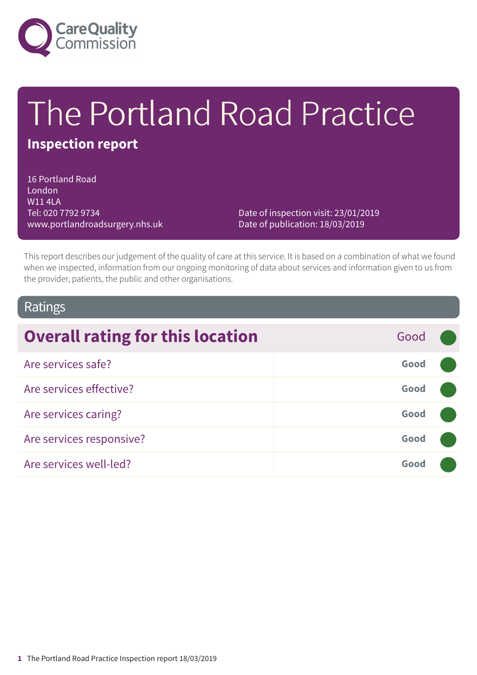

# The Portland Road Practice

# **Inspection report**

16 Portland Road **London** W11 4LA Tel: 020 7792 9734 www.portlandroadsurgery.nhs.uk

Date of inspection visit: 23/01/2019 Date of publication: 18/03/2019

This report describes our judgement of the quality of care at this service. It is based on a combination of what we found when we inspected, information from our ongoing monitoring of data about services and information given to us from the provider, patients, the public and other organisations.

## Ratings

| <b>Overall rating for this location</b> | Good |  |
|-----------------------------------------|------|--|
| Are services safe?                      | Good |  |
| Are services effective?                 | Good |  |
| Are services caring?                    | Good |  |
| Are services responsive?                | Good |  |
| Are services well-led?                  | Good |  |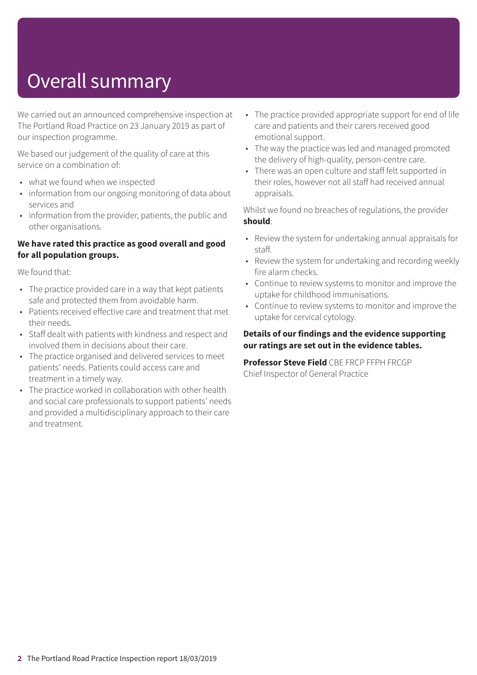# Overall summary

We carried out an announced comprehensive inspection at The Portland Road Practice on 23 January 2019 as part of our inspection programme.

We based our judgement of the quality of care at this service on a combination of:

- what we found when we inspected
- information from our ongoing monitoring of data about services and
- information from the provider, patients, the public and other organisations.

#### **We have rated this practice as good overall and good for all population groups.**

We found that:

- The practice provided care in a way that kept patients safe and protected them from avoidable harm.
- Patients received effective care and treatment that met their needs.
- Staff dealt with patients with kindness and respect and involved them in decisions about their care.
- The practice organised and delivered services to meet patients' needs. Patients could access care and treatment in a timely way.
- The practice worked in collaboration with other health and social care professionals to support patients' needs and provided a multidisciplinary approach to their care and treatment.
- The practice provided appropriate support for end of life care and patients and their carers received good emotional support.
- The way the practice was led and managed promoted the delivery of high-quality, person-centre care.
- There was an open culture and staff felt supported in their roles, however not all staff had received annual appraisals.

Whilst we found no breaches of regulations, the provider **should**:

- Review the system for undertaking annual appraisals for staff.
- Review the system for undertaking and recording weekly fire alarm checks.
- Continue to review systems to monitor and improve the uptake for childhood immunisations.
- Continue to review systems to monitor and improve the uptake for cervical cytology.

#### **Details of our findings and the evidence supporting our ratings are set out in the evidence tables.**

**Professor Steve Field** CBE FRCP FFPH FRCGP Chief Inspector of General Practice